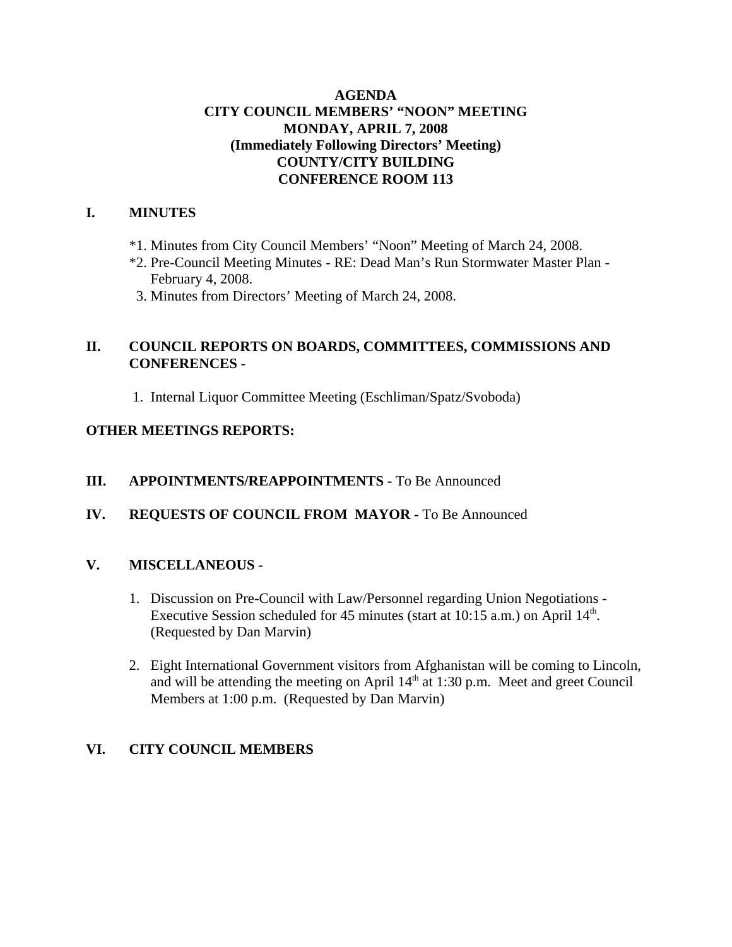#### **AGENDA CITY COUNCIL MEMBERS' "NOON" MEETING MONDAY, APRIL 7, 2008 (Immediately Following Directors' Meeting) COUNTY/CITY BUILDING CONFERENCE ROOM 113**

#### **I. MINUTES**

- \*1. Minutes from City Council Members' "Noon" Meeting of March 24, 2008.
- \*2. Pre-Council Meeting Minutes RE: Dead Man's Run Stormwater Master Plan February 4, 2008.
- 3. Minutes from Directors' Meeting of March 24, 2008.

#### **II. COUNCIL REPORTS ON BOARDS, COMMITTEES, COMMISSIONS AND CONFERENCES** -

1. Internal Liquor Committee Meeting (Eschliman/Spatz/Svoboda)

#### **OTHER MEETINGS REPORTS:**

#### **III.** APPOINTMENTS/REAPPOINTMENTS - To Be Announced

#### **IV. REQUESTS OF COUNCIL FROM MAYOR -** To Be Announced

#### **V. MISCELLANEOUS -**

- 1. Discussion on Pre-Council with Law/Personnel regarding Union Negotiations Executive Session scheduled for 45 minutes (start at  $10:15$  a.m.) on April  $14<sup>th</sup>$ . (Requested by Dan Marvin)
- 2. Eight International Government visitors from Afghanistan will be coming to Lincoln, and will be attending the meeting on April  $14<sup>th</sup>$  at 1:30 p.m. Meet and greet Council Members at 1:00 p.m. (Requested by Dan Marvin)

#### **VI. CITY COUNCIL MEMBERS**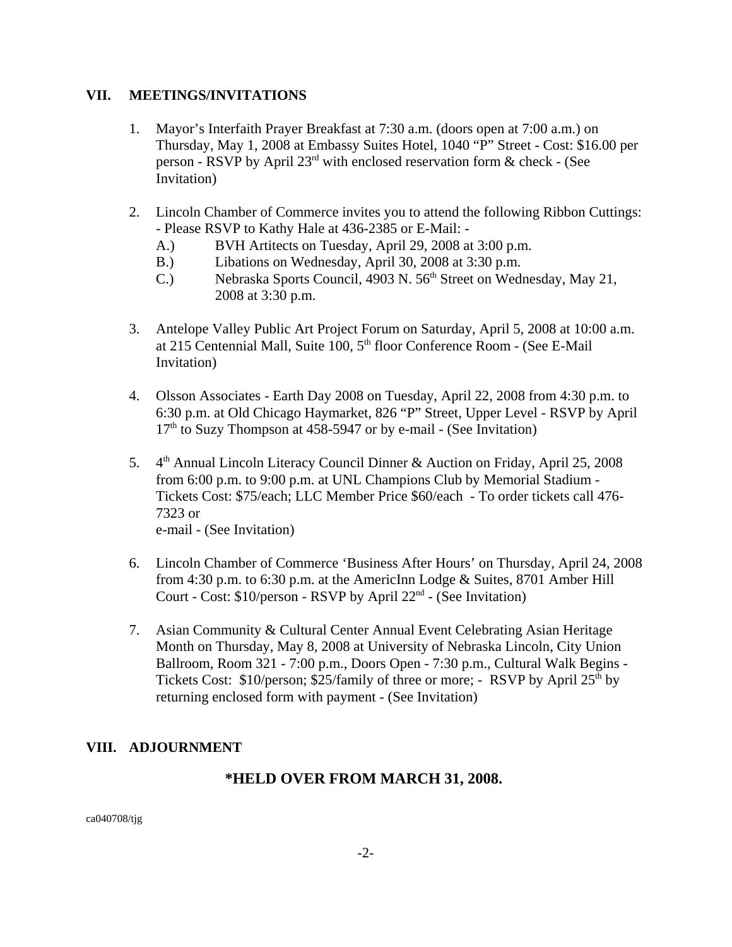#### **VII. MEETINGS/INVITATIONS**

- 1. Mayor's Interfaith Prayer Breakfast at 7:30 a.m. (doors open at 7:00 a.m.) on Thursday, May 1, 2008 at Embassy Suites Hotel, 1040 "P" Street - Cost: \$16.00 per person - RSVP by April  $23<sup>rd</sup>$  with enclosed reservation form & check - (See Invitation)
- 2. Lincoln Chamber of Commerce invites you to attend the following Ribbon Cuttings: - Please RSVP to Kathy Hale at 436-2385 or E-Mail: -
	- A.) BVH Artitects on Tuesday, April 29, 2008 at 3:00 p.m.
	- B.) Libations on Wednesday, April 30, 2008 at 3:30 p.m.
	- C.) Nebraska Sports Council, 4903 N. 56<sup>th</sup> Street on Wednesday, May 21, 2008 at 3:30 p.m.
- 3. Antelope Valley Public Art Project Forum on Saturday, April 5, 2008 at 10:00 a.m. at 215 Centennial Mall, Suite 100, 5<sup>th</sup> floor Conference Room - (See E-Mail Invitation)
- 4. Olsson Associates Earth Day 2008 on Tuesday, April 22, 2008 from 4:30 p.m. to 6:30 p.m. at Old Chicago Haymarket, 826 "P" Street, Upper Level - RSVP by April  $17<sup>th</sup>$  to Suzy Thompson at 458-5947 or by e-mail - (See Invitation)
- 5. 4<sup>th</sup> Annual Lincoln Literacy Council Dinner & Auction on Friday, April 25, 2008 from 6:00 p.m. to 9:00 p.m. at UNL Champions Club by Memorial Stadium - Tickets Cost: \$75/each; LLC Member Price \$60/each - To order tickets call 476- 7323 or e-mail - (See Invitation)
- 6. Lincoln Chamber of Commerce 'Business After Hours' on Thursday, April 24, 2008 from 4:30 p.m. to 6:30 p.m. at the AmericInn Lodge & Suites, 8701 Amber Hill Court - Cost: \$10/person - RSVP by April 22nd - (See Invitation)
- 7. Asian Community & Cultural Center Annual Event Celebrating Asian Heritage Month on Thursday, May 8, 2008 at University of Nebraska Lincoln, City Union Ballroom, Room 321 - 7:00 p.m., Doors Open - 7:30 p.m., Cultural Walk Begins - Tickets Cost:  $$10/person$ ;  $$25/family$  of three or more; - RSVP by April  $25<sup>th</sup>$  by returning enclosed form with payment - (See Invitation)

#### **VIII. ADJOURNMENT**

#### **\*HELD OVER FROM MARCH 31, 2008.**

ca040708/tjg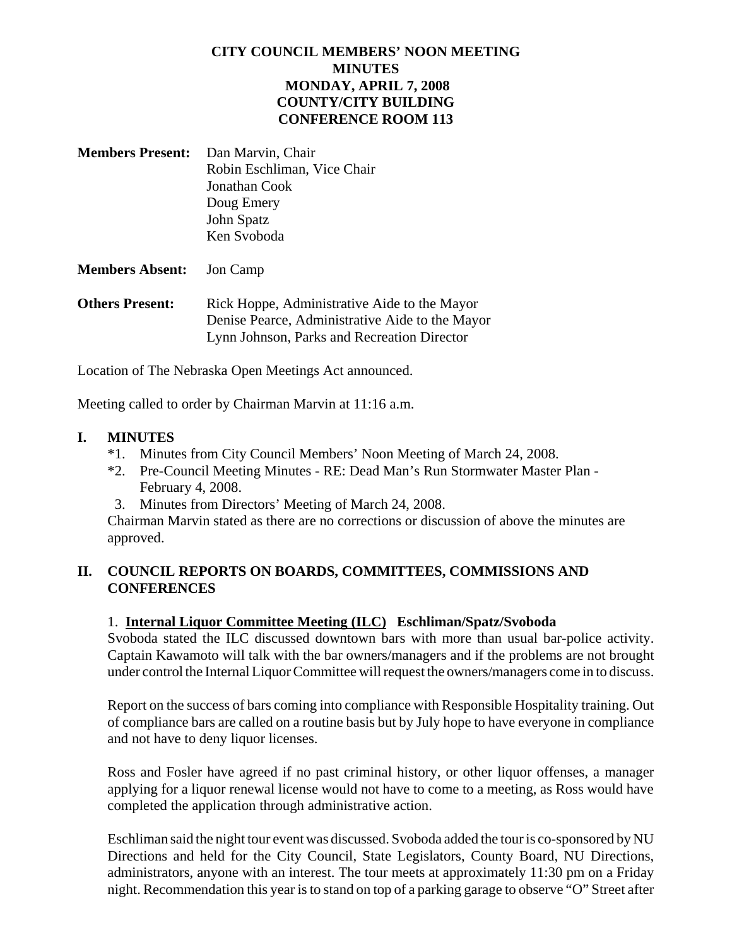#### **CITY COUNCIL MEMBERS' NOON MEETING MINUTES MONDAY, APRIL 7, 2008 COUNTY/CITY BUILDING CONFERENCE ROOM 113**

| <b>Members Present:</b> Dan Marvin, Chair |
|-------------------------------------------|
| Robin Eschliman, Vice Chair               |
| Jonathan Cook                             |
| Doug Emery                                |
| John Spatz                                |
| Ken Svoboda                               |

#### **Members Absent:** Jon Camp

**Others Present:** Rick Hoppe, Administrative Aide to the Mayor Denise Pearce, Administrative Aide to the Mayor Lynn Johnson, Parks and Recreation Director

Location of The Nebraska Open Meetings Act announced.

Meeting called to order by Chairman Marvin at 11:16 a.m.

#### **I. MINUTES**

- \*1. Minutes from City Council Members' Noon Meeting of March 24, 2008.
- \*2. Pre-Council Meeting Minutes RE: Dead Man's Run Stormwater Master Plan February 4, 2008.
- 3. Minutes from Directors' Meeting of March 24, 2008.

Chairman Marvin stated as there are no corrections or discussion of above the minutes are approved.

#### **II. COUNCIL REPORTS ON BOARDS, COMMITTEES, COMMISSIONS AND CONFERENCES**

#### 1. **Internal Liquor Committee Meeting (ILC) Eschliman/Spatz/Svoboda**

Svoboda stated the ILC discussed downtown bars with more than usual bar-police activity. Captain Kawamoto will talk with the bar owners/managers and if the problems are not brought under control the Internal Liquor Committee will request the owners/managers come in to discuss.

Report on the success of bars coming into compliance with Responsible Hospitality training. Out of compliance bars are called on a routine basis but by July hope to have everyone in compliance and not have to deny liquor licenses.

Ross and Fosler have agreed if no past criminal history, or other liquor offenses, a manager applying for a liquor renewal license would not have to come to a meeting, as Ross would have completed the application through administrative action.

Eschliman said the night tour event was discussed. Svoboda added the tour is co-sponsored by NU Directions and held for the City Council, State Legislators, County Board, NU Directions, administrators, anyone with an interest. The tour meets at approximately 11:30 pm on a Friday night. Recommendation this year is to stand on top of a parking garage to observe "O" Street after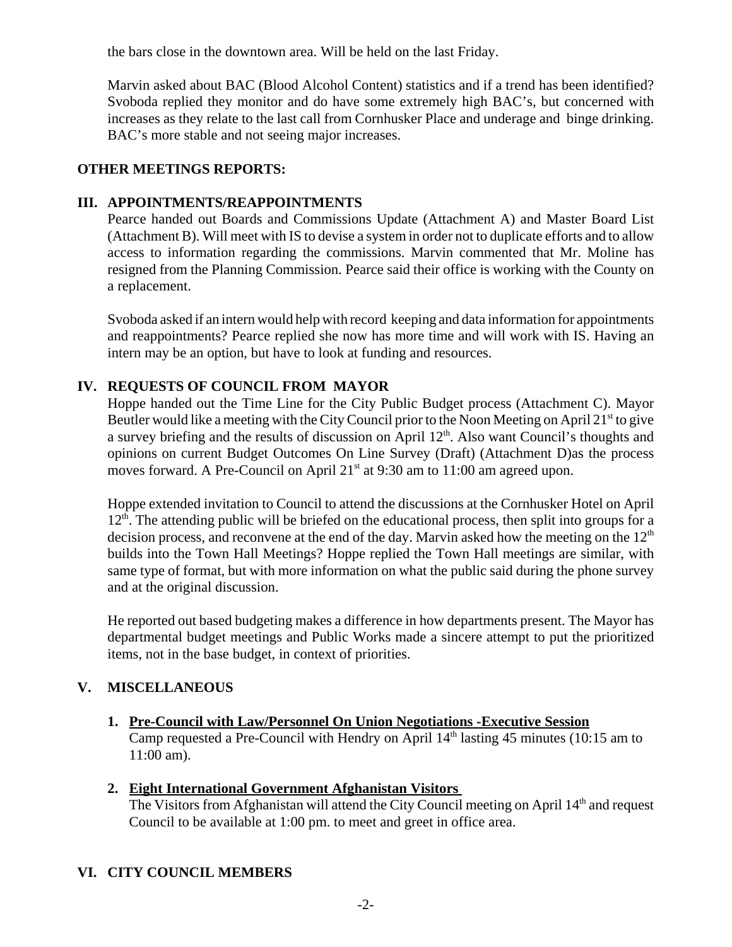the bars close in the downtown area. Will be held on the last Friday.

Marvin asked about BAC (Blood Alcohol Content) statistics and if a trend has been identified? Svoboda replied they monitor and do have some extremely high BAC's, but concerned with increases as they relate to the last call from Cornhusker Place and underage and binge drinking. BAC's more stable and not seeing major increases.

#### **OTHER MEETINGS REPORTS:**

#### **III. APPOINTMENTS/REAPPOINTMENTS**

Pearce handed out Boards and Commissions Update (Attachment A) and Master Board List (Attachment B). Will meet with IS to devise a system in order not to duplicate efforts and to allow access to information regarding the commissions. Marvin commented that Mr. Moline has resigned from the Planning Commission. Pearce said their office is working with the County on a replacement.

Svoboda asked if an intern would help with record keeping and data information for appointments and reappointments? Pearce replied she now has more time and will work with IS. Having an intern may be an option, but have to look at funding and resources.

#### **IV. REQUESTS OF COUNCIL FROM MAYOR**

Hoppe handed out the Time Line for the City Public Budget process (Attachment C). Mayor Beutler would like a meeting with the City Council prior to the Noon Meeting on April  $21<sup>st</sup>$  to give a survey briefing and the results of discussion on April 12<sup>th</sup>. Also want Council's thoughts and opinions on current Budget Outcomes On Line Survey (Draft) (Attachment D)as the process moves forward. A Pre-Council on April  $21<sup>st</sup>$  at 9:30 am to 11:00 am agreed upon.

Hoppe extended invitation to Council to attend the discussions at the Cornhusker Hotel on April  $12<sup>th</sup>$ . The attending public will be briefed on the educational process, then split into groups for a decision process, and reconvene at the end of the day. Marvin asked how the meeting on the  $12<sup>th</sup>$ builds into the Town Hall Meetings? Hoppe replied the Town Hall meetings are similar, with same type of format, but with more information on what the public said during the phone survey and at the original discussion.

He reported out based budgeting makes a difference in how departments present. The Mayor has departmental budget meetings and Public Works made a sincere attempt to put the prioritized items, not in the base budget, in context of priorities.

#### **V. MISCELLANEOUS**

**1. Pre-Council with Law/Personnel On Union Negotiations -Executive Session** Camp requested a Pre-Council with Hendry on April  $14<sup>th</sup>$  lasting 45 minutes (10:15 am to 11:00 am).

#### **2. Eight International Government Afghanistan Visitors**

The Visitors from Afghanistan will attend the City Council meeting on April  $14<sup>th</sup>$  and request Council to be available at 1:00 pm. to meet and greet in office area.

#### **VI. CITY COUNCIL MEMBERS**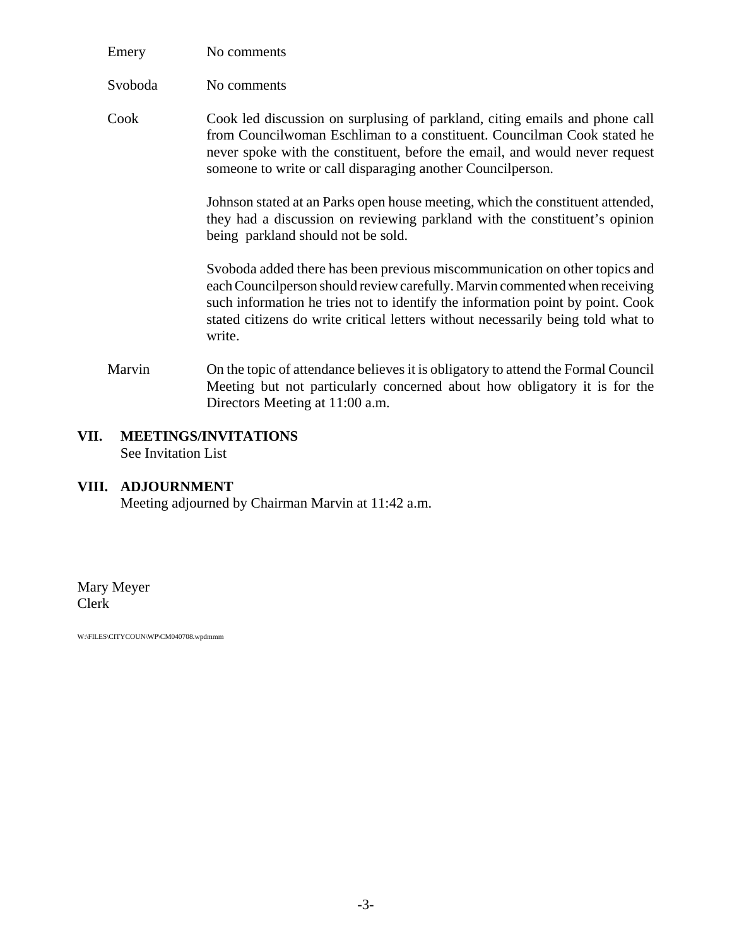| Emery   | No comments |
|---------|-------------|
| Svoboda | No comments |

Cook Cook led discussion on surplusing of parkland, citing emails and phone call from Councilwoman Eschliman to a constituent. Councilman Cook stated he never spoke with the constituent, before the email, and would never request someone to write or call disparaging another Councilperson.

> Johnson stated at an Parks open house meeting, which the constituent attended, they had a discussion on reviewing parkland with the constituent's opinion being parkland should not be sold.

> Svoboda added there has been previous miscommunication on other topics and each Councilperson should review carefully. Marvin commented when receiving such information he tries not to identify the information point by point. Cook stated citizens do write critical letters without necessarily being told what to write.

Marvin On the topic of attendance believes it is obligatory to attend the Formal Council Meeting but not particularly concerned about how obligatory it is for the Directors Meeting at 11:00 a.m.

#### **VII. MEETINGS/INVITATIONS** See Invitation List

#### **VIII. ADJOURNMENT**

Meeting adjourned by Chairman Marvin at 11:42 a.m.

Mary Meyer Clerk

W:\FILES\CITYCOUN\WP\CM040708.wpdmmm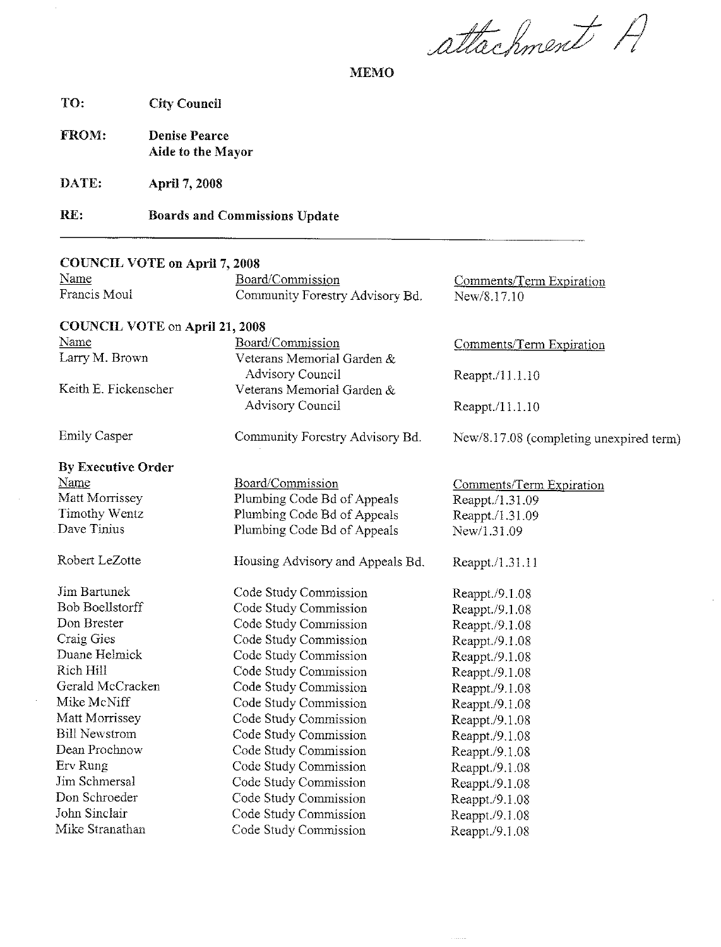attachment A

**MEMO** 

TO: **City Council** 

FROM: **Denise Pearce** Aide to the Mayor

DATE: April 7, 2008

RE: **Boards and Commissions Update** 

#### **COUNCIL VOTE on April 7, 2008** Name Board/Commission Comments/Term Expiration Francis Moul Community Forestry Advisory Bd. New/8.17.10 **COUNCIL VOTE on April 21, 2008** Name Board/Commission Comments/Term Expiration Larry M. Brown Veterans Memorial Garden & **Advisory Council** Reappt./11.1.10 Keith E. Fickenscher Veterans Memorial Garden & **Advisory Council** Reappt./11.1.10 **Emily Casper** Community Forestry Advisory Bd. New/8.17.08 (completing unexpired term) **By Executive Order** Name Board/Commission Comments/Term Expiration Matt Morrissey Plumbing Code Bd of Appeals Reappt./1.31.09 **Timothy Wentz** Plumbing Code Bd of Appeals Reappt./1.31.09 Dave Tinius Plumbing Code Bd of Appeals New/1.31 09 Robert LeZotte Housing Advisory and Appeals Bd. Reappt./1.31.11 Jim Bartunek Code Study Commission Reappt./9.1.08 **Bob Boellstorff** Code Study Commission Reappt./9.1.08 Don Brester Code Study Commission Reappt./9.1.08 Craig Gies Code Study Commission Reappt./9.1.08 Duane Helmick Code Study Commission Reappt./9.1.08 Code Study Commission Rich Hill Reappt./9.1.08 Gerald McCracken Code Study Commission Reappt./9.1.08 Code Study Commission Mike McNiff Reappt./9.1.08 Matt Morrissey Code Study Commission Reappt./9.1.08 **Bill Newstrom** Code Study Commission Reappt./9.1.08 Dean Prochnow Code Study Commission Reappt./9.1.08 Erv Rung Code Study Commission Reappt./9.1.08 Jim Schmersal Code Study Commission Reappt./9.1.08 Don Schroeder Code Study Commission Reappt./9.1.08 John Sinclair Code Study Commission Reappt./9.1.08 Mike Stranathan Code Study Commission Reappt./9.1.08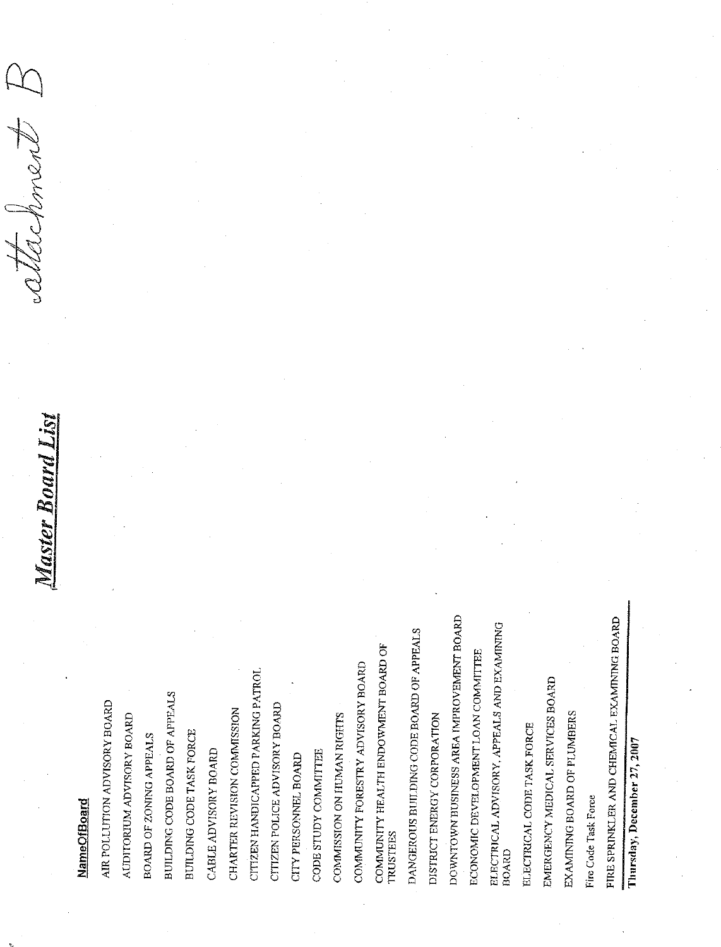Master Board List

attechment.

### **NameOfBoard**

DOWNTOWN BUSINESS AREA IMPROVEMENT BOARD DANGEROUS BUILDING CODE BOARD OF APPEALS COMMUNITY HEALTH ENDOWMENT BOARD OF COMMUNITY FORESTRY ADVISORY BOARD CITIZEN HANDICAPPED PARKING PATROL BUILDING CODE BOARD OF APPEALS AIR POLLUTION ADVISORY BOARD CITIZEN POLICE ADVISORY BOARD CHARTER REVISION COMMISSION COMMISSION ON HUMAN RIGHTS AUDITORIUM ADVISORY BOARD DISTRICT ENERGY CORPORATION BUILDING CODE TASK FORCE BOARD OF ZONING APPEALS CABLE ADVISORY BOARD CODE STUDY COMMITTEE CITY PERSONNEL BOARD **TRUSTEES** 

ELECTRICAL CODE TASK FORCE

ELECTRICAL ADVISORY, APPEALS AND EXAMINING

**BOARD** 

ECONOMIC DEVELOPMENT LOAN COMMITTEE

EMERGENCY MEDICAL SERVICES BOARD

EXAMINING BOARD OF PLUMBERS

Fire Code Task Force

FIRE SPRINKLER AND CHEMICAL EXAMINING BOARD

Thursday, December 27, 2007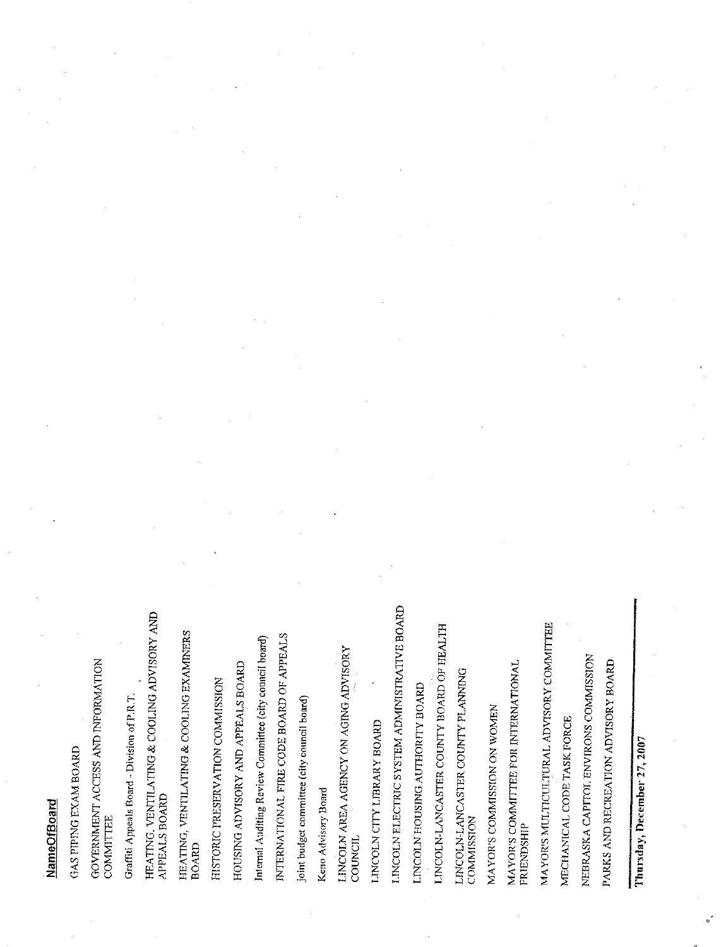## **NameOfBoard**

GAS PIPING EXAM BOARD

GOVERNMENT ACCESS AND INFORMATION COMMITTEE

Graffiti Appeals Board - Division of P.R.T.

HEATING, VENTILATING & COOLING ADVISORY AND APPEALS BOARD

HEATING, VENTILATING & COOLING EXAMINERS **BOARD** 

HISTORIC PRESERVATION COMMISSION

HOUSING ADVISORY AND APPEALS BOARD

Internal Auditing Review Committee (city council board)

INTERNATIONAL FIRE CODE BOARD OF APPEALS

joint budget committee (city council board)

Keno Advisory Board

LINCOLN AREA AGENCY ON AGING ADVISORY COUNCIL

LINCOLN CITY LIBRARY BOARD

LINCOLN ELECTRIC SYSTEM ADMINISTRATIVE BOARD

LINCOLN HOUSING AUTHORITY BOARD

INCOLN-LANCASTER COUNTY BOARD OF HEALTH

LINCOLN-LANCASTER COUNTY PLANNING<br>COMMISSION

MAYOR'S COMMISSION ON WOMEN

MAYOR'S COMMITTEE FOR INTERNATIONAL<br>FRIENDSHIP

MAYOR'S MULTICULTURAL ADVISORY COMMITTEE

MECHANICAL CODE TASK FORCE

NEBRASKA CAPITOL ENVIRONS COMMISSION

PARKS AND RECREATION ADVISORY BOARD

Thursday, December 27, 2007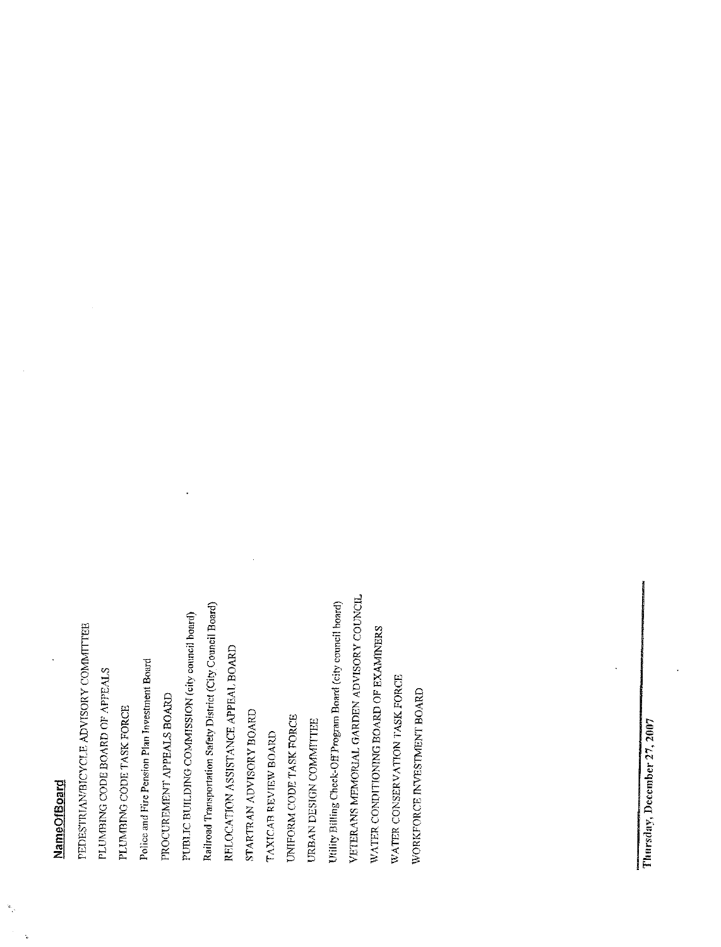# **NameOfBoard**

 $\mathbf{u}_i$ 

VETERANS MEMORIAL GARDEN ADVISORY COUNCIL Railroad Transportation Safety District (City Council Board) Utility Billing Check-Off Program Board (city council board) PUBLIC BUILDING COMMISSION (city council board) PEDESTRIAN/BICYCLE ADVISORY COMMITTEE WATER CONDITIONING BOARD OF EXAMINERS RELOCATION ASSISTANCE APPEAL BOARD Police and Fire Pension Plan Investment Board PLUMBING CODE BOARD OF APPEALS WATER CONSERVATION TASK FORCE WORKFORCE INVESTMENT BOARD PROCUREMENT APPEALS BOARD PLUMBING CODE TASK FORCE STARTRAN ADVISORY BOARD UNIFORM CODE TASK FORCE URBAN DESIGN COMMITTEE TAXICAB REVIEW BOARD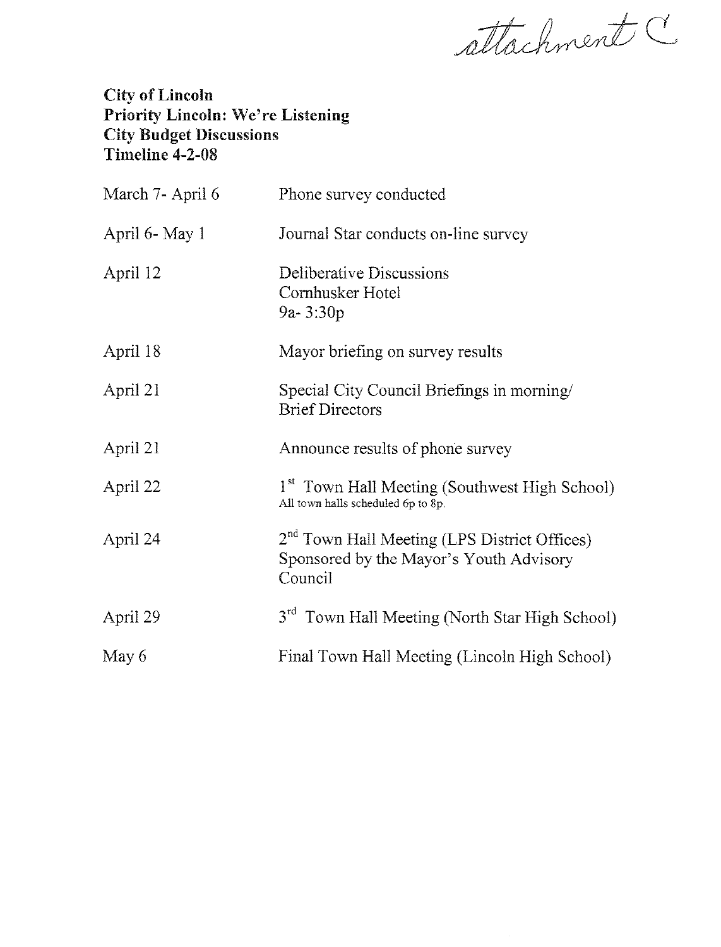attachment C

### City of Lincoln Priority Lincoln: We're Listening **City Budget Discussions** Timeline 4-2-08

| March 7- April 6 | Phone survey conducted                                                                                         |
|------------------|----------------------------------------------------------------------------------------------------------------|
| April 6- May 1   | Journal Star conducts on-line survey                                                                           |
| April 12         | Deliberative Discussions<br>Cornhusker Hotel<br>$9a - 3:30p$                                                   |
| April 18         | Mayor briefing on survey results                                                                               |
| April 21         | Special City Council Briefings in morning/<br><b>Brief Directors</b>                                           |
| April 21         | Announce results of phone survey                                                                               |
| April 22         | 1 <sup>st</sup> Town Hall Meeting (Southwest High School)<br>All town halls scheduled 6p to 8p.                |
| April 24         | 2 <sup>nd</sup> Town Hall Meeting (LPS District Offices)<br>Sponsored by the Mayor's Youth Advisory<br>Council |
| April 29         | 3 <sup>rd</sup> Town Hall Meeting (North Star High School)                                                     |
| May 6            | Final Town Hall Meeting (Lincoln High School)                                                                  |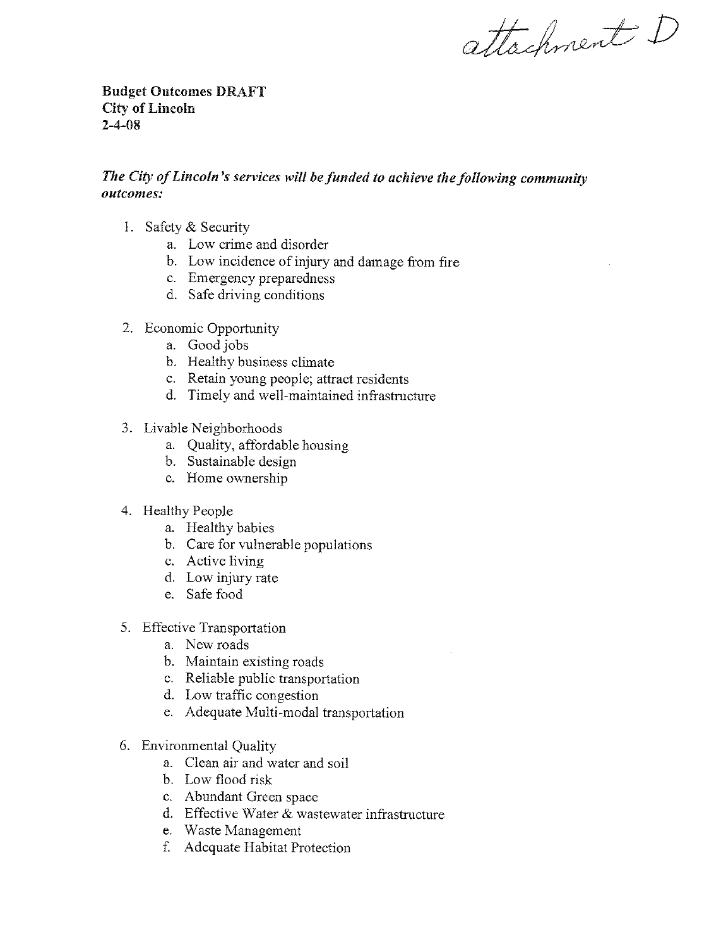attachment D

**Budget Outcomes DRAFT City of Lincoln**  $2 - 4 - 08$ 

#### The City of Lincoln's services will be funded to achieve the following community outcomes:

- 1. Safety & Security
	- a. Low crime and disorder
	- b. Low incidence of injury and damage from fire
	- c. Emergency preparedness
	- d. Safe driving conditions
- 2. Economic Opportunity
	- a. Good jobs
	- b. Healthy business climate
	- c. Retain young people; attract residents
	- d. Timely and well-maintained infrastructure
- 3. Livable Neighborhoods
	- a. Quality, affordable housing
	- b. Sustainable design
	- c. Home ownership
- 4. Healthy People
	- a. Healthy babies
	- b. Care for vulnerable populations
	- c. Active living
	- d. Low injury rate
	- e. Safe food
- 5. Effective Transportation
	- a. New roads
	- b. Maintain existing roads
	- c. Reliable public transportation
	- d. Low traffic congestion
	- e. Adequate Multi-modal transportation
- 6. Environmental Quality
	- a. Clean air and water and soil
	- b. Low flood risk
	- c. Abundant Green space
	- d. Effective Water & wastewater infrastructure
	- e. Waste Management
	- f. Adequate Habitat Protection